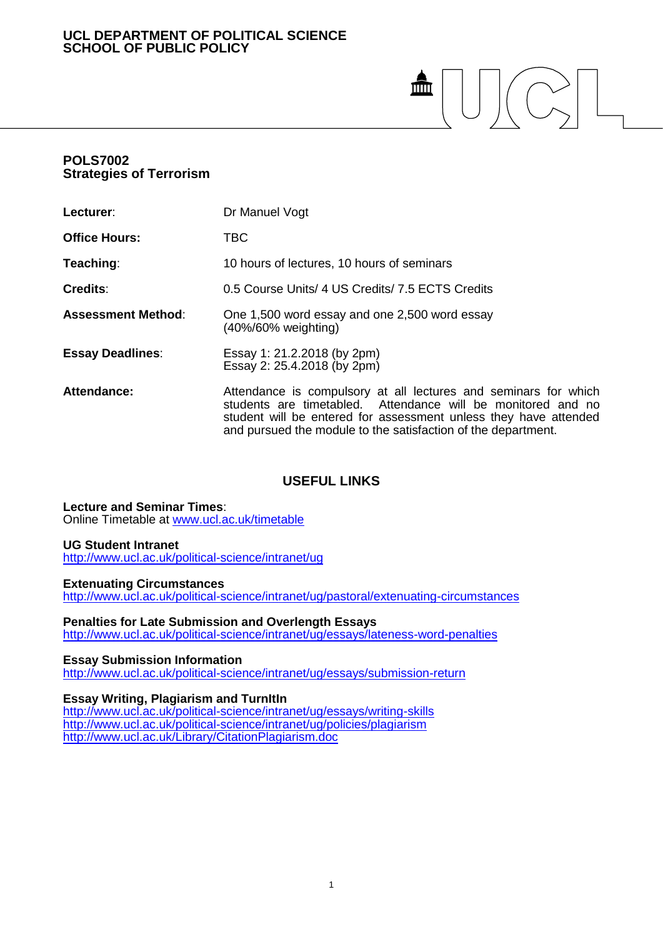# **UCL DEPARTMENT OF POLITICAL SCIENCE SCHOOL OF PUBLIC POLICY**

# $\frac{1}{2}$  $\sim$

# **POLS7002 Strategies of Terrorism**

| Lecturer:                 | Dr Manuel Vogt                                                                                                                                                                                                                                                       |
|---------------------------|----------------------------------------------------------------------------------------------------------------------------------------------------------------------------------------------------------------------------------------------------------------------|
| <b>Office Hours:</b>      | TBC                                                                                                                                                                                                                                                                  |
| Teaching:                 | 10 hours of lectures, 10 hours of seminars                                                                                                                                                                                                                           |
| Credits:                  | 0.5 Course Units/ 4 US Credits/ 7.5 ECTS Credits                                                                                                                                                                                                                     |
| <b>Assessment Method:</b> | One 1,500 word essay and one 2,500 word essay<br>(40%/60% weighting)                                                                                                                                                                                                 |
| <b>Essay Deadlines:</b>   | Essay 1: 21.2.2018 (by 2pm)<br>Essay 2: 25.4.2018 (by 2pm)                                                                                                                                                                                                           |
| Attendance:               | Attendance is compulsory at all lectures and seminars for which<br>students are timetabled. Attendance will be monitored and no<br>student will be entered for assessment unless they have attended<br>and pursued the module to the satisfaction of the department. |

# **USEFUL LINKS**

**Lecture and Seminar Times**: Online Timetable at [www.ucl.ac.uk/timetable](http://www.ucl.ac.uk/timetable)

# **UG Student Intranet**

<http://www.ucl.ac.uk/political-science/intranet/ug>

#### **Extenuating Circumstances**

<http://www.ucl.ac.uk/political-science/intranet/ug/pastoral/extenuating-circumstances>

#### **Penalties for Late Submission and Overlength Essays**

<http://www.ucl.ac.uk/political-science/intranet/ug/essays/lateness-word-penalties>

## **Essay Submission Information**

<http://www.ucl.ac.uk/political-science/intranet/ug/essays/submission-return>

# **Essay Writing, Plagiarism and TurnItIn**

<http://www.ucl.ac.uk/political-science/intranet/ug/essays/writing-skills> <http://www.ucl.ac.uk/political-science/intranet/ug/policies/plagiarism> <http://www.ucl.ac.uk/Library/CitationPlagiarism.doc>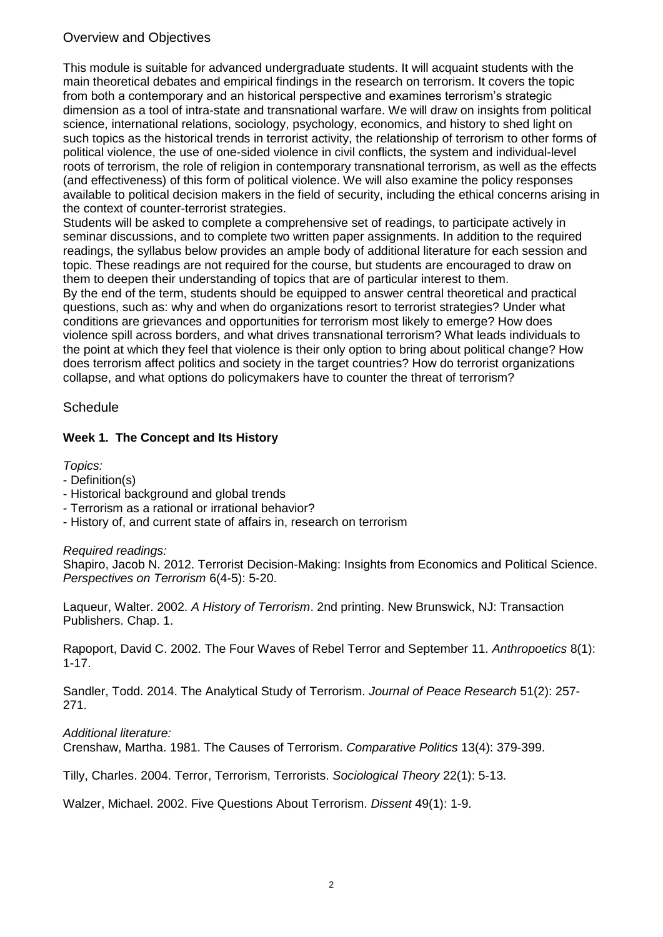# Overview and Objectives

This module is suitable for advanced undergraduate students. It will acquaint students with the main theoretical debates and empirical findings in the research on terrorism. It covers the topic from both a contemporary and an historical perspective and examines terrorism's strategic dimension as a tool of intra-state and transnational warfare. We will draw on insights from political science, international relations, sociology, psychology, economics, and history to shed light on such topics as the historical trends in terrorist activity, the relationship of terrorism to other forms of political violence, the use of one-sided violence in civil conflicts, the system and individual-level roots of terrorism, the role of religion in contemporary transnational terrorism, as well as the effects (and effectiveness) of this form of political violence. We will also examine the policy responses available to political decision makers in the field of security, including the ethical concerns arising in the context of counter-terrorist strategies.

Students will be asked to complete a comprehensive set of readings, to participate actively in seminar discussions, and to complete two written paper assignments. In addition to the required readings, the syllabus below provides an ample body of additional literature for each session and topic. These readings are not required for the course, but students are encouraged to draw on them to deepen their understanding of topics that are of particular interest to them.

By the end of the term, students should be equipped to answer central theoretical and practical questions, such as: why and when do organizations resort to terrorist strategies? Under what conditions are grievances and opportunities for terrorism most likely to emerge? How does violence spill across borders, and what drives transnational terrorism? What leads individuals to the point at which they feel that violence is their only option to bring about political change? How does terrorism affect politics and society in the target countries? How do terrorist organizations collapse, and what options do policymakers have to counter the threat of terrorism?

# **Schedule**

# **Week 1. The Concept and Its History**

*Topics:*

- Definition(s)
- Historical background and global trends
- Terrorism as a rational or irrational behavior?
- History of, and current state of affairs in, research on terrorism

# *Required readings:*

Shapiro, Jacob N. 2012. Terrorist Decision-Making: Insights from Economics and Political Science. *Perspectives on Terrorism* 6(4-5): 5-20.

Laqueur, Walter. 2002. *A History of Terrorism*. 2nd printing. New Brunswick, NJ: Transaction Publishers. Chap. 1.

Rapoport, David C. 2002. The Four Waves of Rebel Terror and September 11. *Anthropoetics* 8(1): 1-17.

Sandler, Todd. 2014. The Analytical Study of Terrorism. *Journal of Peace Research* 51(2): 257- 271.

# *Additional literature:*

Crenshaw, Martha. 1981. The Causes of Terrorism. *Comparative Politics* 13(4): 379-399.

Tilly, Charles. 2004. Terror, Terrorism, Terrorists. *Sociological Theory* 22(1): 5-13.

Walzer, Michael. 2002. Five Questions About Terrorism. *Dissent* 49(1): 1-9.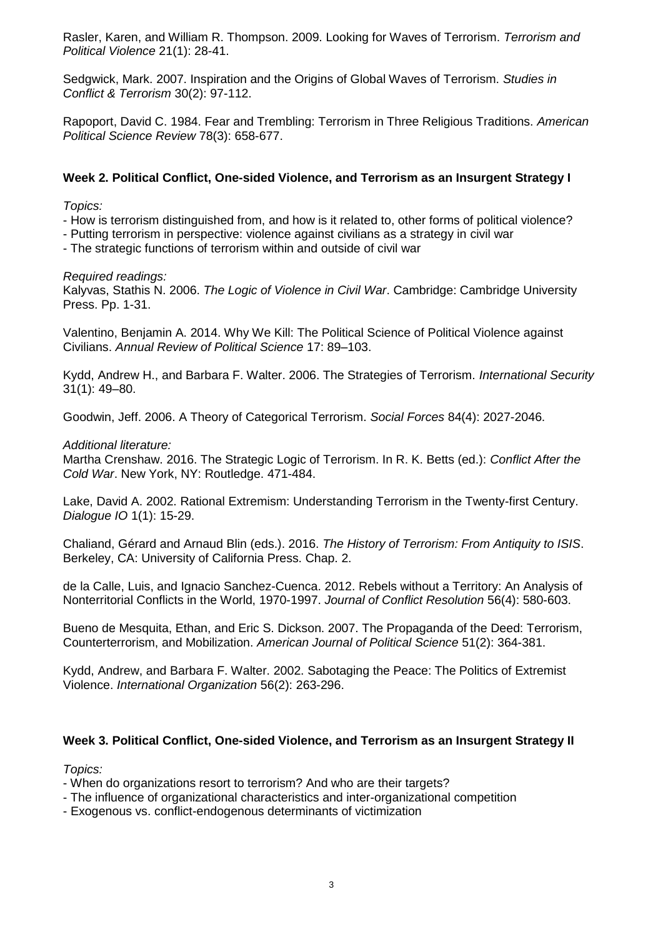Rasler, Karen, and William R. Thompson. 2009. Looking for Waves of Terrorism. *Terrorism and Political Violence* 21(1): 28-41.

Sedgwick, Mark. 2007. Inspiration and the Origins of Global Waves of Terrorism. *Studies in Conflict & Terrorism* 30(2): 97-112.

Rapoport, David C. 1984. Fear and Trembling: Terrorism in Three Religious Traditions. *American Political Science Review* 78(3): 658-677.

## **Week 2. Political Conflict, One-sided Violence, and Terrorism as an Insurgent Strategy I**

*Topics:*

- How is terrorism distinguished from, and how is it related to, other forms of political violence?

- Putting terrorism in perspective: violence against civilians as a strategy in civil war

- The strategic functions of terrorism within and outside of civil war

## *Required readings:*

Kalyvas, Stathis N. 2006. *The Logic of Violence in Civil War*. Cambridge: Cambridge University Press. Pp. 1-31.

Valentino, Benjamin A. 2014. Why We Kill: The Political Science of Political Violence against Civilians. *Annual Review of Political Science* 17: 89–103.

Kydd, Andrew H., and Barbara F. Walter. 2006. The Strategies of Terrorism. *International Security* 31(1): 49–80.

Goodwin, Jeff. 2006. A Theory of Categorical Terrorism. *Social Forces* 84(4): 2027-2046.

## *Additional literature:*

Martha Crenshaw. 2016. The Strategic Logic of Terrorism. In R. K. Betts (ed.): *Conflict After the Cold War*. New York, NY: Routledge. 471-484.

Lake, David A. 2002. Rational Extremism: Understanding Terrorism in the Twenty-first Century. *Dialogue IO* 1(1): 15-29.

Chaliand, Gérard and Arnaud Blin (eds.). 2016. *The History of Terrorism: From Antiquity to ISIS*. Berkeley, CA: University of California Press. Chap. 2.

de la Calle, Luis, and Ignacio Sanchez-Cuenca. 2012. Rebels without a Territory: An Analysis of Nonterritorial Conflicts in the World, 1970-1997. *Journal of Conflict Resolution* 56(4): 580-603.

Bueno de Mesquita, Ethan, and Eric S. Dickson. 2007. The Propaganda of the Deed: Terrorism, Counterterrorism, and Mobilization. *American Journal of Political Science* 51(2): 364-381.

Kydd, Andrew, and Barbara F. Walter. 2002. Sabotaging the Peace: The Politics of Extremist Violence. *International Organization* 56(2): 263-296.

# **Week 3. Political Conflict, One-sided Violence, and Terrorism as an Insurgent Strategy II**

*Topics:*

- When do organizations resort to terrorism? And who are their targets?
- The influence of organizational characteristics and inter-organizational competition
- Exogenous vs. conflict-endogenous determinants of victimization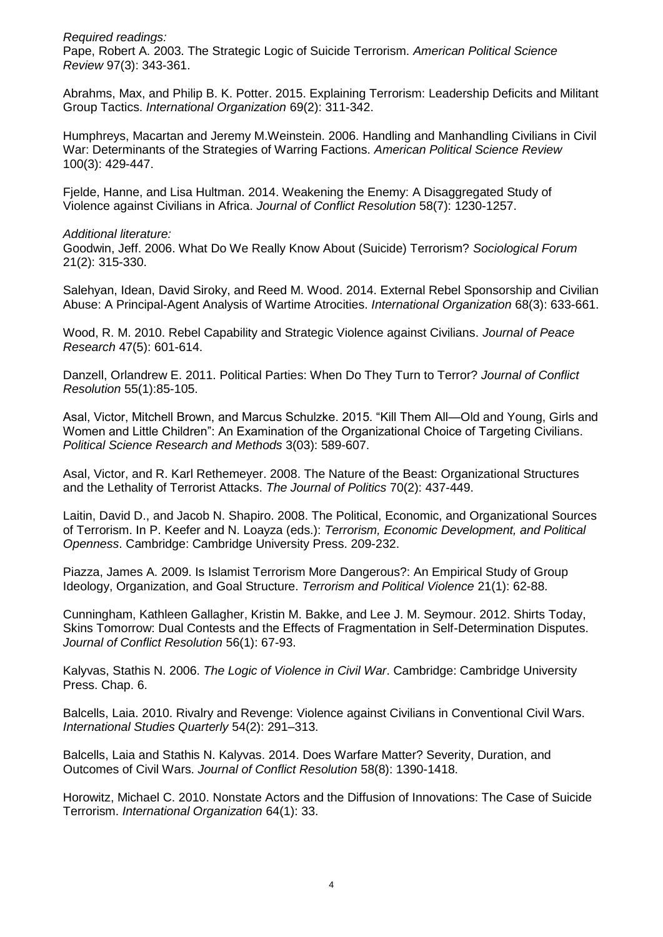*Required readings:* Pape, Robert A. 2003. The Strategic Logic of Suicide Terrorism. *American Political Science Review* 97(3): 343-361.

Abrahms, Max, and Philip B. K. Potter. 2015. Explaining Terrorism: Leadership Deficits and Militant Group Tactics. *International Organization* 69(2): 311-342.

Humphreys, Macartan and Jeremy M.Weinstein. 2006. Handling and Manhandling Civilians in Civil War: Determinants of the Strategies of Warring Factions. *American Political Science Review* 100(3): 429-447.

Fjelde, Hanne, and Lisa Hultman. 2014. Weakening the Enemy: A Disaggregated Study of Violence against Civilians in Africa. *Journal of Conflict Resolution* 58(7): 1230-1257.

#### *Additional literature:*

Goodwin, Jeff. 2006. What Do We Really Know About (Suicide) Terrorism? *Sociological Forum* 21(2): 315-330.

Salehyan, Idean, David Siroky, and Reed M. Wood. 2014. External Rebel Sponsorship and Civilian Abuse: A Principal-Agent Analysis of Wartime Atrocities. *International Organization* 68(3): 633-661.

Wood, R. M. 2010. Rebel Capability and Strategic Violence against Civilians. *Journal of Peace Research* 47(5): 601-614.

Danzell, Orlandrew E. 2011. Political Parties: When Do They Turn to Terror? *Journal of Conflict Resolution* 55(1):85-105.

Asal, Victor, Mitchell Brown, and Marcus Schulzke. 2015. "Kill Them All—Old and Young, Girls and Women and Little Children": An Examination of the Organizational Choice of Targeting Civilians. *Political Science Research and Methods* 3(03): 589-607.

Asal, Victor, and R. Karl Rethemeyer. 2008. The Nature of the Beast: Organizational Structures and the Lethality of Terrorist Attacks. *The Journal of Politics* 70(2): 437-449.

Laitin, David D., and Jacob N. Shapiro. 2008. The Political, Economic, and Organizational Sources of Terrorism. In P. Keefer and N. Loayza (eds.): *Terrorism, Economic Development, and Political Openness*. Cambridge: Cambridge University Press. 209-232.

Piazza, James A. 2009. Is Islamist Terrorism More Dangerous?: An Empirical Study of Group Ideology, Organization, and Goal Structure. *Terrorism and Political Violence* 21(1): 62-88.

Cunningham, Kathleen Gallagher, Kristin M. Bakke, and Lee J. M. Seymour. 2012. Shirts Today, Skins Tomorrow: Dual Contests and the Effects of Fragmentation in Self-Determination Disputes. *Journal of Conflict Resolution* 56(1): 67-93.

Kalyvas, Stathis N. 2006. *The Logic of Violence in Civil War*. Cambridge: Cambridge University Press. Chap. 6.

Balcells, Laia. 2010. Rivalry and Revenge: Violence against Civilians in Conventional Civil Wars. *International Studies Quarterly* 54(2): 291–313.

Balcells, Laia and Stathis N. Kalyvas. 2014. Does Warfare Matter? Severity, Duration, and Outcomes of Civil Wars. *Journal of Conflict Resolution* 58(8): 1390-1418.

Horowitz, Michael C. 2010. Nonstate Actors and the Diffusion of Innovations: The Case of Suicide Terrorism. *International Organization* 64(1): 33.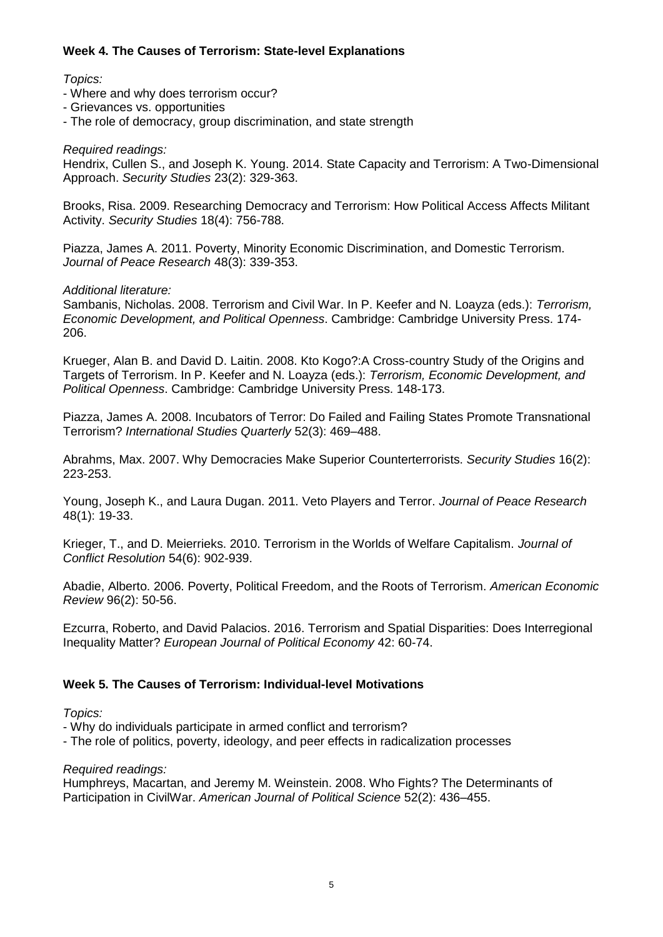# **Week 4. The Causes of Terrorism: State-level Explanations**

# *Topics:*

- Where and why does terrorism occur?
- Grievances vs. opportunities
- The role of democracy, group discrimination, and state strength

# *Required readings:*

Hendrix, Cullen S., and Joseph K. Young. 2014. State Capacity and Terrorism: A Two-Dimensional Approach. *Security Studies* 23(2): 329-363.

Brooks, Risa. 2009. Researching Democracy and Terrorism: How Political Access Affects Militant Activity. *Security Studies* 18(4): 756-788.

Piazza, James A. 2011. Poverty, Minority Economic Discrimination, and Domestic Terrorism. *Journal of Peace Research* 48(3): 339-353.

# *Additional literature:*

Sambanis, Nicholas. 2008. Terrorism and Civil War. In P. Keefer and N. Loayza (eds.): *Terrorism, Economic Development, and Political Openness*. Cambridge: Cambridge University Press. 174- 206.

Krueger, Alan B. and David D. Laitin. 2008. Kto Kogo?:A Cross-country Study of the Origins and Targets of Terrorism. In P. Keefer and N. Loayza (eds.): *Terrorism, Economic Development, and Political Openness*. Cambridge: Cambridge University Press. 148-173.

Piazza, James A. 2008. Incubators of Terror: Do Failed and Failing States Promote Transnational Terrorism? *International Studies Quarterly* 52(3): 469–488.

Abrahms, Max. 2007. Why Democracies Make Superior Counterterrorists. *Security Studies* 16(2): 223-253.

Young, Joseph K., and Laura Dugan. 2011. Veto Players and Terror. *Journal of Peace Research* 48(1): 19-33.

Krieger, T., and D. Meierrieks. 2010. Terrorism in the Worlds of Welfare Capitalism. *Journal of Conflict Resolution* 54(6): 902-939.

Abadie, Alberto. 2006. Poverty, Political Freedom, and the Roots of Terrorism. *American Economic Review* 96(2): 50-56.

Ezcurra, Roberto, and David Palacios. 2016. Terrorism and Spatial Disparities: Does Interregional Inequality Matter? *European Journal of Political Economy* 42: 60-74.

# **Week 5. The Causes of Terrorism: Individual-level Motivations**

# *Topics:*

- Why do individuals participate in armed conflict and terrorism?
- The role of politics, poverty, ideology, and peer effects in radicalization processes

# *Required readings:*

Humphreys, Macartan, and Jeremy M. Weinstein. 2008. Who Fights? The Determinants of Participation in CivilWar. *American Journal of Political Science* 52(2): 436–455.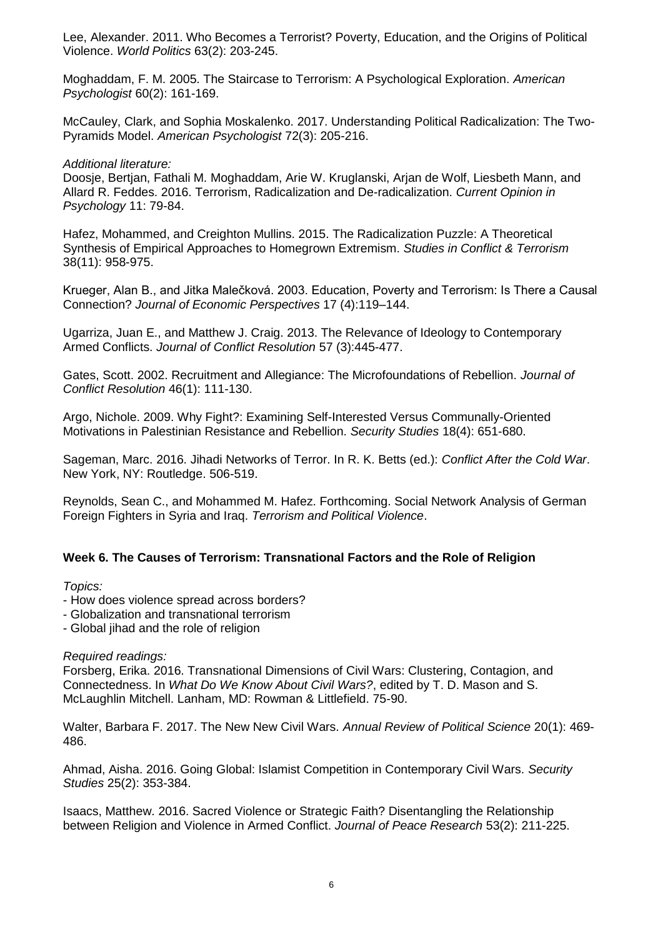Lee, Alexander. 2011. Who Becomes a Terrorist? Poverty, Education, and the Origins of Political Violence. *World Politics* 63(2): 203-245.

Moghaddam, F. M. 2005. The Staircase to Terrorism: A Psychological Exploration. *American Psychologist* 60(2): 161-169.

McCauley, Clark, and Sophia Moskalenko. 2017. Understanding Political Radicalization: The Two-Pyramids Model. *American Psychologist* 72(3): 205-216.

#### *Additional literature:*

Doosje, Bertjan, Fathali M. Moghaddam, Arie W. Kruglanski, Arjan de Wolf, Liesbeth Mann, and Allard R. Feddes. 2016. Terrorism, Radicalization and De-radicalization. *Current Opinion in Psychology* 11: 79-84.

Hafez, Mohammed, and Creighton Mullins. 2015. The Radicalization Puzzle: A Theoretical Synthesis of Empirical Approaches to Homegrown Extremism. *Studies in Conflict & Terrorism* 38(11): 958-975.

Krueger, Alan B., and Jitka Malečková. 2003. Education, Poverty and Terrorism: Is There a Causal Connection? *Journal of Economic Perspectives* 17 (4):119–144.

Ugarriza, Juan E., and Matthew J. Craig. 2013. The Relevance of Ideology to Contemporary Armed Conflicts. *Journal of Conflict Resolution* 57 (3):445-477.

Gates, Scott. 2002. Recruitment and Allegiance: The Microfoundations of Rebellion. *Journal of Conflict Resolution* 46(1): 111-130.

Argo, Nichole. 2009. Why Fight?: Examining Self-Interested Versus Communally-Oriented Motivations in Palestinian Resistance and Rebellion. *Security Studies* 18(4): 651-680.

Sageman, Marc. 2016. Jihadi Networks of Terror. In R. K. Betts (ed.): *Conflict After the Cold War*. New York, NY: Routledge. 506-519.

Reynolds, Sean C., and Mohammed M. Hafez. Forthcoming. Social Network Analysis of German Foreign Fighters in Syria and Iraq. *Terrorism and Political Violence*.

#### **Week 6. The Causes of Terrorism: Transnational Factors and the Role of Religion**

#### *Topics:*

- How does violence spread across borders?
- Globalization and transnational terrorism
- Global jihad and the role of religion

#### *Required readings:*

Forsberg, Erika. 2016. Transnational Dimensions of Civil Wars: Clustering, Contagion, and Connectedness. In *What Do We Know About Civil Wars?*, edited by T. D. Mason and S. McLaughlin Mitchell. Lanham, MD: Rowman & Littlefield. 75-90.

Walter, Barbara F. 2017. The New New Civil Wars. *Annual Review of Political Science* 20(1): 469- 486.

Ahmad, Aisha. 2016. Going Global: Islamist Competition in Contemporary Civil Wars. *Security Studies* 25(2): 353-384.

Isaacs, Matthew. 2016. Sacred Violence or Strategic Faith? Disentangling the Relationship between Religion and Violence in Armed Conflict. *Journal of Peace Research* 53(2): 211-225.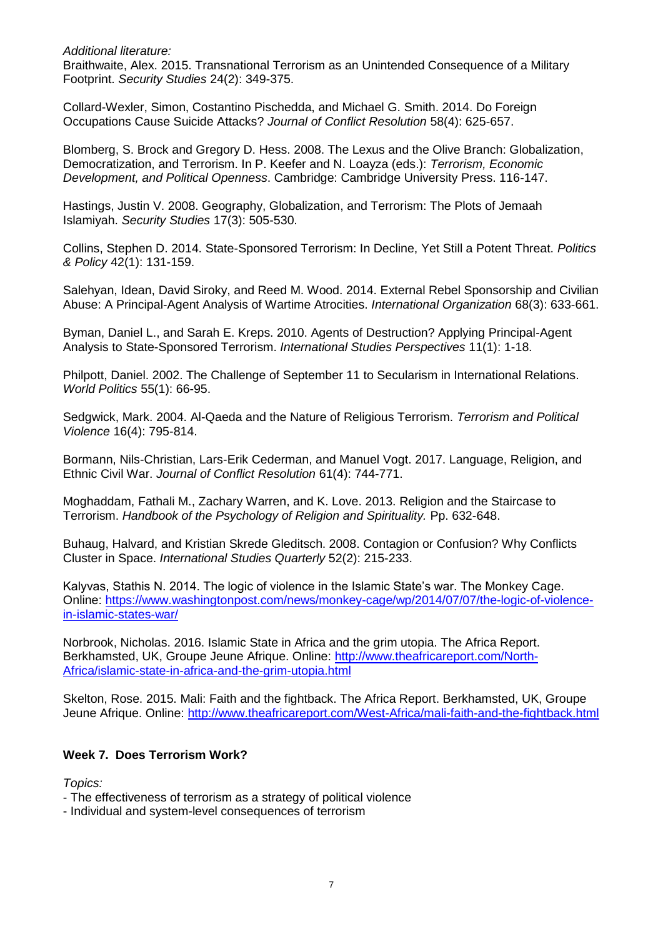*Additional literature:*

Braithwaite, Alex. 2015. Transnational Terrorism as an Unintended Consequence of a Military Footprint. *Security Studies* 24(2): 349-375.

Collard-Wexler, Simon, Costantino Pischedda, and Michael G. Smith. 2014. Do Foreign Occupations Cause Suicide Attacks? *Journal of Conflict Resolution* 58(4): 625-657.

Blomberg, S. Brock and Gregory D. Hess. 2008. The Lexus and the Olive Branch: Globalization, Democratization, and Terrorism. In P. Keefer and N. Loayza (eds.): *Terrorism, Economic Development, and Political Openness*. Cambridge: Cambridge University Press. 116-147.

Hastings, Justin V. 2008. Geography, Globalization, and Terrorism: The Plots of Jemaah Islamiyah. *Security Studies* 17(3): 505-530.

Collins, Stephen D. 2014. State-Sponsored Terrorism: In Decline, Yet Still a Potent Threat. *Politics & Policy* 42(1): 131-159.

Salehyan, Idean, David Siroky, and Reed M. Wood. 2014. External Rebel Sponsorship and Civilian Abuse: A Principal-Agent Analysis of Wartime Atrocities. *International Organization* 68(3): 633-661.

Byman, Daniel L., and Sarah E. Kreps. 2010. Agents of Destruction? Applying Principal-Agent Analysis to State-Sponsored Terrorism. *International Studies Perspectives* 11(1): 1-18.

Philpott, Daniel. 2002. The Challenge of September 11 to Secularism in International Relations. *World Politics* 55(1): 66-95.

Sedgwick, Mark. 2004. Al-Qaeda and the Nature of Religious Terrorism. *Terrorism and Political Violence* 16(4): 795-814.

Bormann, Nils-Christian, Lars-Erik Cederman, and Manuel Vogt. 2017. Language, Religion, and Ethnic Civil War. *Journal of Conflict Resolution* 61(4): 744-771.

Moghaddam, Fathali M., Zachary Warren, and K. Love. 2013. Religion and the Staircase to Terrorism. *Handbook of the Psychology of Religion and Spirituality.* Pp. 632-648.

Buhaug, Halvard, and Kristian Skrede Gleditsch. 2008. Contagion or Confusion? Why Conflicts Cluster in Space. *International Studies Quarterly* 52(2): 215-233.

Kalyvas, Stathis N. 2014. The logic of violence in the Islamic State's war. The Monkey Cage. Online: [https://www.washingtonpost.com/news/monkey-cage/wp/2014/07/07/the-logic-of-violence](https://www.washingtonpost.com/news/monkey-cage/wp/2014/07/07/the-logic-of-violence-in-islamic-states-war/)[in-islamic-states-war/](https://www.washingtonpost.com/news/monkey-cage/wp/2014/07/07/the-logic-of-violence-in-islamic-states-war/)

Norbrook, Nicholas. 2016. Islamic State in Africa and the grim utopia. The Africa Report. Berkhamsted, UK, Groupe Jeune Afrique. Online: [http://www.theafricareport.com/North-](http://www.theafricareport.com/North-Africa/islamic-state-in-africa-and-the-grim-utopia.html)[Africa/islamic-state-in-africa-and-the-grim-utopia.html](http://www.theafricareport.com/North-Africa/islamic-state-in-africa-and-the-grim-utopia.html)

Skelton, Rose. 2015. Mali: Faith and the fightback. The Africa Report. Berkhamsted, UK, Groupe Jeune Afrique. Online:<http://www.theafricareport.com/West-Africa/mali-faith-and-the-fightback.html>

# **Week 7. Does Terrorism Work?**

*Topics:*

- The effectiveness of terrorism as a strategy of political violence
- Individual and system-level consequences of terrorism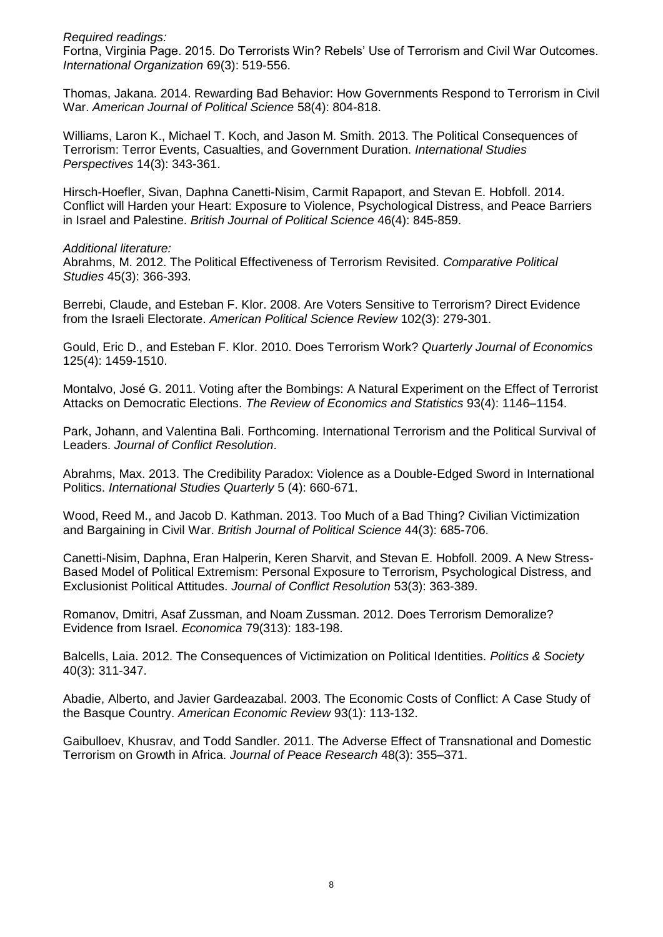*Required readings:*

Fortna, Virginia Page. 2015. Do Terrorists Win? Rebels' Use of Terrorism and Civil War Outcomes. *International Organization* 69(3): 519-556.

Thomas, Jakana. 2014. Rewarding Bad Behavior: How Governments Respond to Terrorism in Civil War. *American Journal of Political Science* 58(4): 804-818.

Williams, Laron K., Michael T. Koch, and Jason M. Smith. 2013. The Political Consequences of Terrorism: Terror Events, Casualties, and Government Duration. *International Studies Perspectives* 14(3): 343-361.

Hirsch-Hoefler, Sivan, Daphna Canetti-Nisim, Carmit Rapaport, and Stevan E. Hobfoll. 2014. Conflict will Harden your Heart: Exposure to Violence, Psychological Distress, and Peace Barriers in Israel and Palestine. *British Journal of Political Science* 46(4): 845-859.

*Additional literature:*

Abrahms, M. 2012. The Political Effectiveness of Terrorism Revisited. *Comparative Political Studies* 45(3): 366-393.

Berrebi, Claude, and Esteban F. Klor. 2008. Are Voters Sensitive to Terrorism? Direct Evidence from the Israeli Electorate. *American Political Science Review* 102(3): 279-301.

Gould, Eric D., and Esteban F. Klor. 2010. Does Terrorism Work? *Quarterly Journal of Economics* 125(4): 1459-1510.

Montalvo, José G. 2011. Voting after the Bombings: A Natural Experiment on the Effect of Terrorist Attacks on Democratic Elections. *The Review of Economics and Statistics* 93(4): 1146–1154.

Park, Johann, and Valentina Bali. Forthcoming. International Terrorism and the Political Survival of Leaders. *Journal of Conflict Resolution*.

Abrahms, Max. 2013. The Credibility Paradox: Violence as a Double-Edged Sword in International Politics. *International Studies Quarterly* 5 (4): 660-671.

Wood, Reed M., and Jacob D. Kathman. 2013. Too Much of a Bad Thing? Civilian Victimization and Bargaining in Civil War. *British Journal of Political Science* 44(3): 685-706.

Canetti-Nisim, Daphna, Eran Halperin, Keren Sharvit, and Stevan E. Hobfoll. 2009. A New Stress-Based Model of Political Extremism: Personal Exposure to Terrorism, Psychological Distress, and Exclusionist Political Attitudes. *Journal of Conflict Resolution* 53(3): 363-389.

Romanov, Dmitri, Asaf Zussman, and Noam Zussman. 2012. Does Terrorism Demoralize? Evidence from Israel. *Economica* 79(313): 183-198.

Balcells, Laia. 2012. The Consequences of Victimization on Political Identities. *Politics & Society* 40(3): 311-347.

Abadie, Alberto, and Javier Gardeazabal. 2003. The Economic Costs of Conflict: A Case Study of the Basque Country. *American Economic Review* 93(1): 113-132.

Gaibulloev, Khusrav, and Todd Sandler. 2011. The Adverse Effect of Transnational and Domestic Terrorism on Growth in Africa. *Journal of Peace Research* 48(3): 355–371.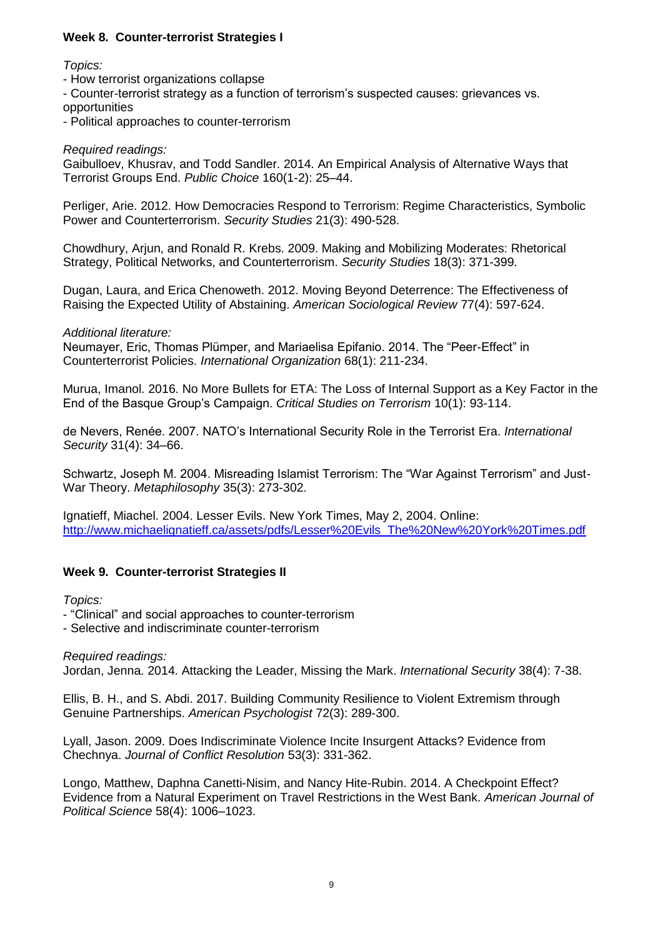# **Week 8. Counter-terrorist Strategies I**

*Topics:*

- How terrorist organizations collapse
- Counter-terrorist strategy as a function of terrorism's suspected causes: grievances vs. opportunities
- Political approaches to counter-terrorism

## *Required readings:*

Gaibulloev, Khusrav, and Todd Sandler. 2014. An Empirical Analysis of Alternative Ways that Terrorist Groups End. *Public Choice* 160(1-2): 25–44.

Perliger, Arie. 2012. How Democracies Respond to Terrorism: Regime Characteristics, Symbolic Power and Counterterrorism. *Security Studies* 21(3): 490-528.

Chowdhury, Arjun, and Ronald R. Krebs. 2009. Making and Mobilizing Moderates: Rhetorical Strategy, Political Networks, and Counterterrorism. *Security Studies* 18(3): 371-399.

Dugan, Laura, and Erica Chenoweth. 2012. Moving Beyond Deterrence: The Effectiveness of Raising the Expected Utility of Abstaining. *American Sociological Review* 77(4): 597-624.

*Additional literature:*

Neumayer, Eric, Thomas Plümper, and Mariaelisa Epifanio. 2014. The "Peer-Effect" in Counterterrorist Policies. *International Organization* 68(1): 211-234.

Murua, Imanol. 2016. No More Bullets for ETA: The Loss of Internal Support as a Key Factor in the End of the Basque Group's Campaign. *Critical Studies on Terrorism* 10(1): 93-114.

de Nevers, Renée. 2007. NATO's International Security Role in the Terrorist Era. *International Security* 31(4): 34–66.

Schwartz, Joseph M. 2004. Misreading Islamist Terrorism: The "War Against Terrorism" and Just-War Theory. *Metaphilosophy* 35(3): 273-302.

Ignatieff, Miachel. 2004. Lesser Evils. New York Times, May 2, 2004. Online: [http://www.michaelignatieff.ca/assets/pdfs/Lesser%20Evils\\_The%20New%20York%20Times.pdf](http://www.michaelignatieff.ca/assets/pdfs/Lesser%20Evils_The%20New%20York%20Times.pdf)

# **Week 9. Counter-terrorist Strategies II**

*Topics:*

- "Clinical" and social approaches to counter-terrorism

- Selective and indiscriminate counter-terrorism

#### *Required readings:*

Jordan, Jenna. 2014. Attacking the Leader, Missing the Mark. *International Security* 38(4): 7-38.

Ellis, B. H., and S. Abdi. 2017. Building Community Resilience to Violent Extremism through Genuine Partnerships. *American Psychologist* 72(3): 289-300.

Lyall, Jason. 2009. Does Indiscriminate Violence Incite Insurgent Attacks? Evidence from Chechnya. *Journal of Conflict Resolution* 53(3): 331-362.

Longo, Matthew, Daphna Canetti-Nisim, and Nancy Hite-Rubin. 2014. A Checkpoint Effect? Evidence from a Natural Experiment on Travel Restrictions in the West Bank. *American Journal of Political Science* 58(4): 1006–1023.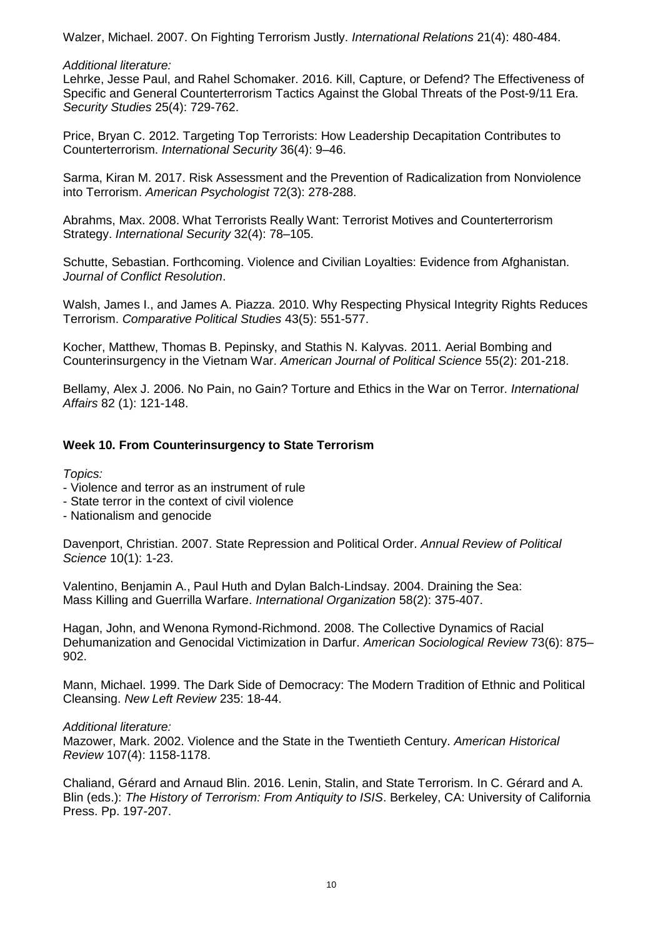Walzer, Michael. 2007. On Fighting Terrorism Justly. *International Relations* 21(4): 480-484.

## *Additional literature:*

Lehrke, Jesse Paul, and Rahel Schomaker. 2016. Kill, Capture, or Defend? The Effectiveness of Specific and General Counterterrorism Tactics Against the Global Threats of the Post-9/11 Era. *Security Studies* 25(4): 729-762.

Price, Bryan C. 2012. Targeting Top Terrorists: How Leadership Decapitation Contributes to Counterterrorism. *International Security* 36(4): 9–46.

Sarma, Kiran M. 2017. Risk Assessment and the Prevention of Radicalization from Nonviolence into Terrorism. *American Psychologist* 72(3): 278-288.

Abrahms, Max. 2008. What Terrorists Really Want: Terrorist Motives and Counterterrorism Strategy. *International Security* 32(4): 78–105.

Schutte, Sebastian. Forthcoming. Violence and Civilian Loyalties: Evidence from Afghanistan. *Journal of Conflict Resolution*.

Walsh, James I., and James A. Piazza. 2010. Why Respecting Physical Integrity Rights Reduces Terrorism. *Comparative Political Studies* 43(5): 551-577.

Kocher, Matthew, Thomas B. Pepinsky, and Stathis N. Kalyvas. 2011. Aerial Bombing and Counterinsurgency in the Vietnam War. *American Journal of Political Science* 55(2): 201-218.

Bellamy, Alex J. 2006. No Pain, no Gain? Torture and Ethics in the War on Terror. *International Affairs* 82 (1): 121-148.

# **Week 10. From Counterinsurgency to State Terrorism**

*Topics:*

- Violence and terror as an instrument of rule
- State terror in the context of civil violence

- Nationalism and genocide

Davenport, Christian. 2007. State Repression and Political Order. *Annual Review of Political Science* 10(1): 1-23.

Valentino, Benjamin A., Paul Huth and Dylan Balch-Lindsay. 2004. Draining the Sea: Mass Killing and Guerrilla Warfare. *International Organization* 58(2): 375-407.

Hagan, John, and Wenona Rymond-Richmond. 2008. The Collective Dynamics of Racial Dehumanization and Genocidal Victimization in Darfur. *American Sociological Review* 73(6): 875– 902.

Mann, Michael. 1999. The Dark Side of Democracy: The Modern Tradition of Ethnic and Political Cleansing. *New Left Review* 235: 18-44.

# *Additional literature:*

Mazower, Mark. 2002. Violence and the State in the Twentieth Century. *American Historical Review* 107(4): 1158-1178.

Chaliand, Gérard and Arnaud Blin. 2016. Lenin, Stalin, and State Terrorism. In C. Gérard and A. Blin (eds.): *The History of Terrorism: From Antiquity to ISIS*. Berkeley, CA: University of California Press. Pp. 197-207.